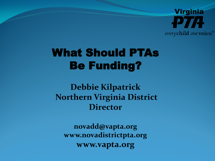

## What Should PTAs Be Funding?

**Debbie Kilpatrick Northern Virginia District Director**

**novadd@vapta.org www.novadistrictpta.org www.vapta.org**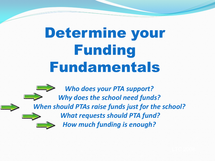# Determine your Funding Fundamentals

**Who does your PTA support? Why does the school need funds? When should PTAs raise funds just for the school? What requests should PTA fund? How much funding is enough?**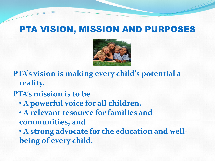### PTA VISION, MISSION AND PURPOSES



PTA's vision is making every child's potential a reality.

#### **PTA's mission is to be**

- **A powerful voice for all children,**
- **A** relevant resource for families and communities, and

**A strong advocate for the education and well**being of every child.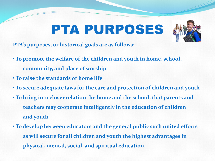# PTA PURPOSES



PTA's purposes, or historical goals are as follows:

- **To promote the welfare of the children and youth in home, school, community, and place of worship**
- **To raise the standards of home life**
- **To secure adequate laws for the care and protection of children and youth**
- **To bring into closer relation the home and the school, that parents and teachers may cooperate intelligently in the education of children** and youth
- **To develop between educators and the general public such united efforts as will secure for all children and youth the highest advantages in %%%%%%%%physical,%mental,%social,%and%spiritual%education.**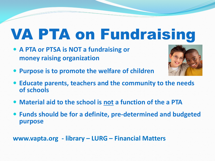# VA PTA on Fundraising

**• A PTA or PTSA is NOT a fundraising or money raising organization** 



- **Purpose is to promote the welfare of children**
- **Educate parents, teachers and the community to the needs of!schools**
- Material aid to the school is not a function of the a PTA
- Funds should be for a definite, pre-determined and budgeted **purpose**

**www.vapta.org - library – LURG – Financial Matters**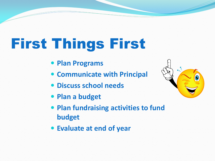# First Things First

- **Plan Programs**
- **Communicate with Principal**
- **Discuss school needs**
- **Plan a budget**
- **Plan fundraising activities to fund budget**
- **Evaluate at end of year**

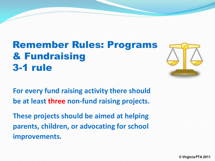### Remember Rules: Programs & Fundraising **3-1 rule**



**For every fund raising activity there should be at least three non-fund raising projects.** 

**These projects should be aimed at helping** parents, children, or advocating for school **improvements.**

© Virginia PTA 2011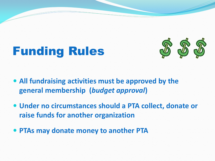## Funding Rules



- All fundraising activities must be approved by the **general!membership!!(***budget\$approval***)**
- **Under no circumstances should a PTA collect, donate or raise funds for another organization**
- **PTAs may donate money to another PTA**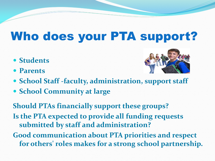## Who does your PTA support?

- **Students**
- y **Parents**



- School Staff -faculty, administration, support staff
- **School Community at large**

**Should PTAs financially support these groups? Is the PTA expected to provide all funding requests** submitted by staff and administration?

**Good communication about PTA priorities and respect** for others' roles makes for a strong school partnership.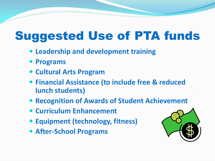## Suggested Use of PTA funds

- **Leadership and development training**
- **Programs**
- **Cultural Arts Program**
- **Financial Assistance (to include free & reduced lunch students)**
- **Recognition of Awards of Student Achievement**
- **Curriculum Enhancement**
- **Equipment (technology, fitness)**
- **After-School Programs**

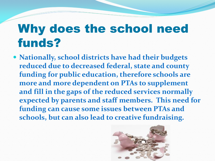## Why does the school need funds?

• Nationally, school districts have had their budgets reduced due to decreased federal, state and county funding for public education, therefore schools are more and more dependent on PTAs to supplement and fill in the gaps of the reduced services normally expected by parents and staff members. This need for funding can cause some issues between PTAs and schools, but can also lead to creative fundraising.

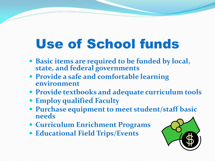# Use of School funds

- **Basic items are required to be funded by local,** state, and federal governments
- **Provide a safe and comfortable learning environment**
- **Provide textbooks and adequate curriculum tools**
- **Employ qualified Faculty**
- **Purchase equipment to meet student/staff basic needs**
- **Curriculum Enrichment Programs**
- **Educational Field Trips/Events**

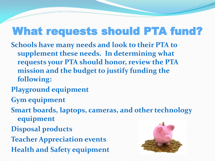### What requests should PTA fund?

**Schools have many needs and look to their PTA to** supplement these needs. In determining what requests your PTA should honor, review the PTA mission and the budget to justify funding the **following:**

- **Playground equipment**
- **Gym%equipment**
- **Smart boards, laptops, cameras, and other technology equipment**
- **Disposal products**
- **Teacher Appreciation events Health and Safety equipment**

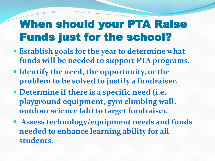## When should your PTA Raise Funds just for the school?

- **Establish goals for the year to determine what** funds will be needed to support PTA programs.
- **Identify the need, the opportunity, or the** problem to be solved to justify a fundraiser.
- **Determine if there is a specific need (i.e.** playground equipment, gym climbing wall, **outdoor science lab) to target fundraiser.**
- **Assess technology/equipment needs and funds needed to enhance learning ability for all students.**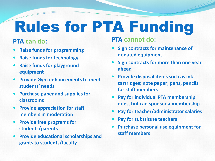# Rules for PTA Funding

#### **PTA can do:**

- **Raise funds for programming**
- **Raise funds for technology**
- **Raise funds for playground equipment**
- **Provide Gym enhancements to meet** students' needs
- **Purchase paper and supplies for classrooms**
- **Provide appreciation for staff members in moderation**
- **Provide free programs for students/parents**
- **Provide educational scholarships and grants to students/faculty**

#### **PTA cannot do:**

- **Sign contracts for maintenance of donated!equipment**
- **Sign contracts for more than one year ahead**
- **Provide disposal items such as ink.** cartridges; note paper; pens, pencils **for!staff!members**
- **Pay for individual PTA membership** dues, but can sponsor a membership
- Pay for teacher/administrator salaries
- Pay for substitute teachers
- **Purchase personal use equipment for staff!members**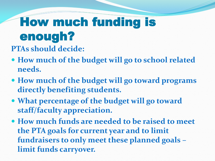## How much funding is enough? **PTAs should decide:**

- How much of the budget will go to school related **needs.**
- How much of the budget will go toward programs directly benefiting students.
- What percentage of the budget will go toward staff/faculty appreciation.
- **How much funds are needed to be raised to meet the PTA goals for current year and to limit** fundraisers to only meet these planned goals **limit funds carryover.**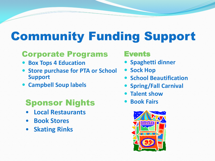## Community Funding Support

#### Corporate Programs

- **Box Tops 4 Education**
- **Store purchase for PTA or School Support**
- **Campbell Soup labels**

### **Sponsor Nights • Book Fairs**

- ͻ**!!!Local!Restaurants**
- **Book Stores**
- **Skating Rinks**

#### Events

- **Spaghetti dinner**
- **Sock Hop**
- **School Beautification**
- **Spring/Fall Carnival**
- **Talent show**
- 

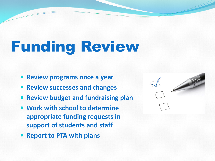# Funding Review

- **Review programs once a year**
- **Review successes and changes**
- **Review budget and fundraising plan**
- **Work with school to determine appropriate funding requests in** support of students and staff
- **Report to PTA with plans**